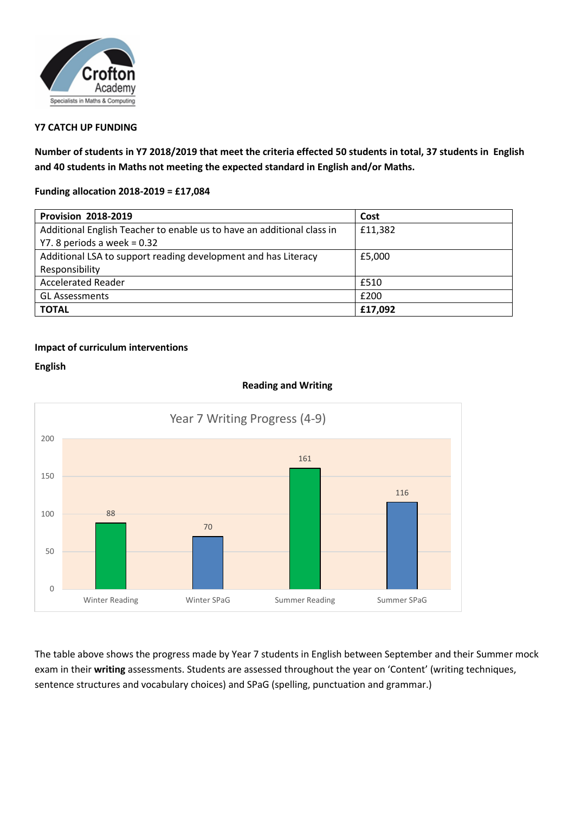

## **Y7 CATCH UP FUNDING**

**Number of students in Y7 2018/2019 that meet the criteria effected 50 students in total, 37 students in English and 40 students in Maths not meeting the expected standard in English and/or Maths.**

**Funding allocation 2018-2019 = £17,084**

| <b>Provision 2018-2019</b>                                             | Cost    |
|------------------------------------------------------------------------|---------|
| Additional English Teacher to enable us to have an additional class in | £11,382 |
| Y7. 8 periods a week $= 0.32$                                          |         |
| Additional LSA to support reading development and has Literacy         | £5.000  |
| Responsibility                                                         |         |
| <b>Accelerated Reader</b>                                              | £510    |
| <b>GL Assessments</b>                                                  | £200    |
| <b>TOTAL</b>                                                           | £17,092 |

## **Impact of curriculum interventions**

**English**



**Reading and Writing**

The table above shows the progress made by Year 7 students in English between September and their Summer mock exam in their **writing** assessments. Students are assessed throughout the year on 'Content' (writing techniques, sentence structures and vocabulary choices) and SPaG (spelling, punctuation and grammar.)